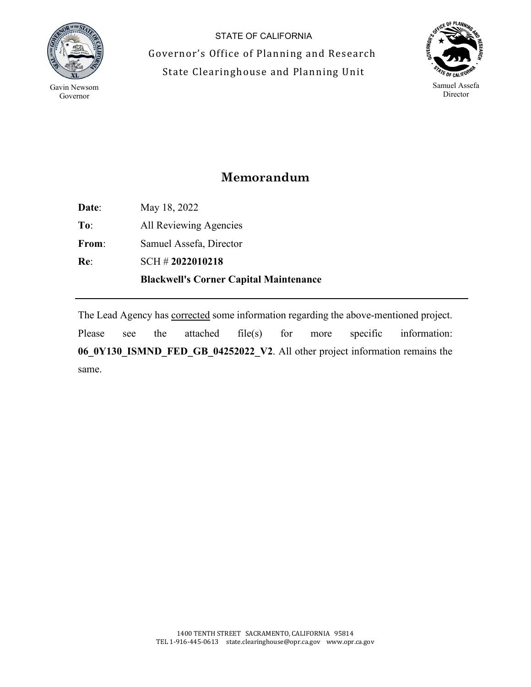

 $\overline{a}$ 

STATE OF CALIFORNIA Governor's Office of Planning and Research State Clearinghouse and Planning Unit



## **Memorandum**

**Date**: May 18, 2022 **To**: All Reviewing Agencies **From**: Samuel Assefa, Director **Re**: SCH # **2022010218 Blackwell's Corner Capital Maintenance**

The Lead Agency has corrected some information regarding the above-mentioned project. Please see the attached file(s) for more specific information: **06\_0Y130\_ISMND\_FED\_GB\_04252022\_V2**. All other project information remains the same.